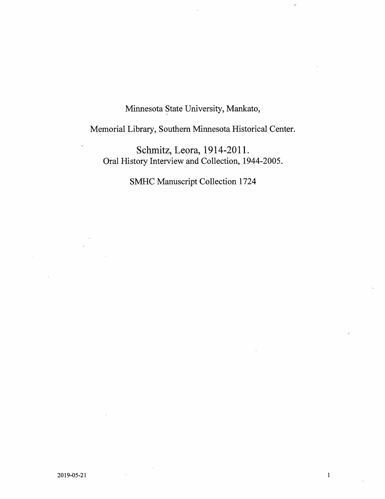Minnesota State University, Mankato,

 $\overline{\epsilon}$ 

Memorial Library, Southern Minnesota Historical Center.

Schmitz, Leora, 1914-2011. Oral History Interview and Collection, 1944-2005.

SMHC Manuscript Collection 1724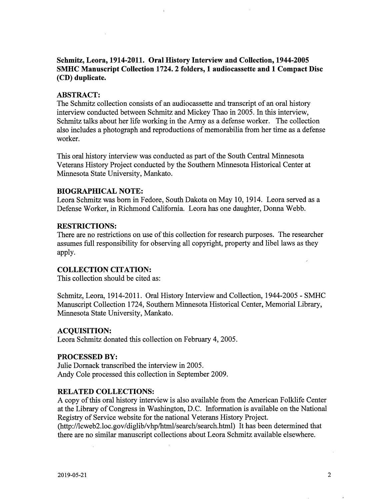# Schmitz, Leora, 1914-2011. Oral History Interview and CoUection, 1944-2005 SMHC Manuscript Collection 1724. 2 folders, 1 audiocassette and 1 Compact Disc (CD) duplicate.

### ABSTRACT:

The Schmitz collection consists of an audiocassette and transcript of an oral history interview conducted between Schmitz and Mickey Thao in 2005. In this interview, Schmitz talks about her life working in the Army as a defense worker. The collection also includes a photograph and reproductions of memorabilia from her time as a defense worker.

This oral history interview was conducted as part of the South Central Minnesota Veterans History Project conducted by the Southern Minnesota Historical Center at Minnesota State University, Mankato.

### BIOGRAPHICAL NOTE:

Leora Schmitz was bom in Fedore, South Dakota on May 10, 1914. Leora served as a Defense Worker, in Richmond California. Leora has one daughter. Donna Webb.

### RESTRICTIONS:

There are no restrictions on use of this collection for research purposes. The researcher assumes full responsibility for observing all copyright, property and libel laws as they apply.

# COLLECTION CITATION:

This collection should be cited as:

Schmitz, Leora, 1914-2011. Oral History Interview and Collection, 1944-2005 - SMHC Manuscript Collection 1724, Southem Minnesota Historical Center, Memorial Library, Minnesota State University, Mankato.

### ACQUISITION:

Leora Schmitz donated this collection on February 4, 2005.

### PROCESSED BY:

Juhe Domack transcribed the interview in 2005. Andy Cole processed this collection in September 2009.

### RELATED COLLECTIONS:

A copy of this oral history interview is also available from the American Folklife Center at the Library of Congress in Washington, D.C. Information is available on the National Registry of Service website for the national Veterans History Project.

(http://lcweb2.loc.gov/diglib/vhp/htnil/search/search.html) It has been determined that there are no similar manuscript collections about Leora Schmitz available elsewhere.